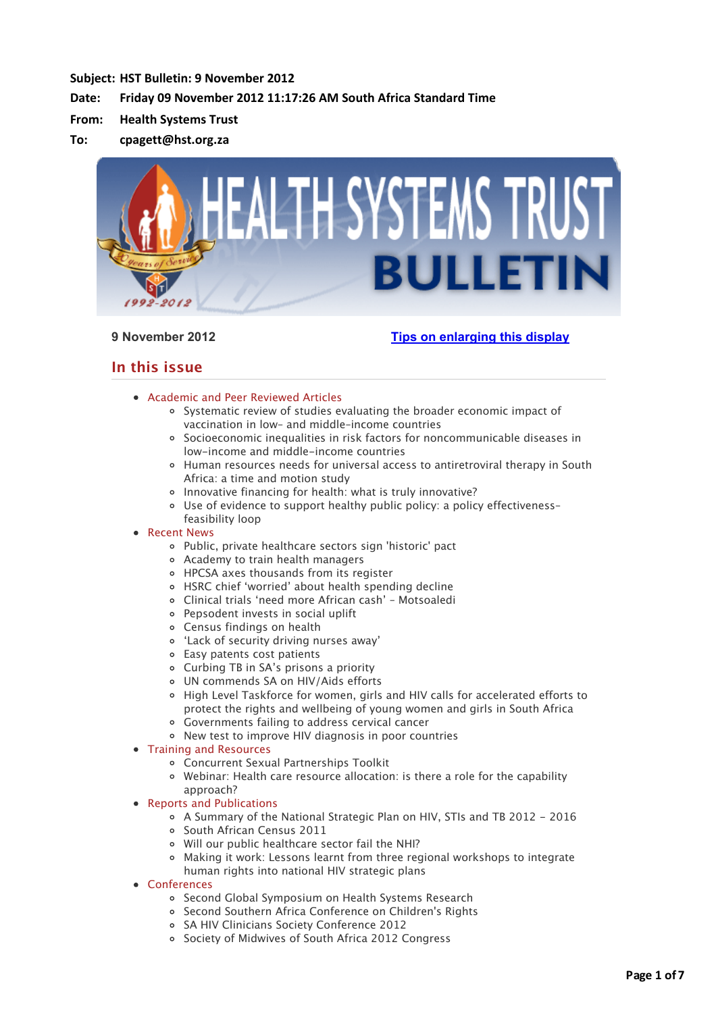# **Subject: HST Bulletin: 9 November 2012**

# Date: Friday 09 November 2012 11:17:26 AM South Africa Standard Time

- **From: Health Systems Trust**
- **To: cpagett@hst.org.za**



# **9 November 2012 [Tips on enlarging this display](http://bulletin.hst.org.za//lt.php?id=K09VDlVQUQUBSlBWC0UHC1NR)**

# **In this issue**

- [Academic and Peer Reviewed Articles](applewebdata://4CEACF31-FBC6-4364-8641-E0C7553DDCDF#Academic)
	- [Systematic review of studies evaluating the broader economic impact of](applewebdata://4CEACF31-FBC6-4364-8641-E0C7553DDCDF#A_1) vaccination in low– and middle–income countries
	- [Socioeconomic inequalities in risk factors for noncommunicable diseases in](applewebdata://4CEACF31-FBC6-4364-8641-E0C7553DDCDF#A_2) low-income and middle-income countries
	- [Human resources needs for universal access to antiretroviral therapy in South](applewebdata://4CEACF31-FBC6-4364-8641-E0C7553DDCDF#A_3) Africa: a time and motion study
	- o [Innovative financing for health: what is truly innovative?](applewebdata://4CEACF31-FBC6-4364-8641-E0C7553DDCDF#A_4)
	- [Use of evidence to support healthy public policy: a policy effectiveness–](applewebdata://4CEACF31-FBC6-4364-8641-E0C7553DDCDF#A_5) feasibility loop
- [Recent News](applewebdata://4CEACF31-FBC6-4364-8641-E0C7553DDCDF#recent)
	- [Public, private healthcare sectors sign 'historic' pact](applewebdata://4CEACF31-FBC6-4364-8641-E0C7553DDCDF#N_1)
	- [Academy to train health managers](applewebdata://4CEACF31-FBC6-4364-8641-E0C7553DDCDF#N_2)
	- [HPCSA axes thousands from its register](applewebdata://4CEACF31-FBC6-4364-8641-E0C7553DDCDF#N_3)
	- [HSRC chief 'worried' about health spending decline](applewebdata://4CEACF31-FBC6-4364-8641-E0C7553DDCDF#N_4)
	- [Clinical trials 'need more African cash' Motsoaledi](applewebdata://4CEACF31-FBC6-4364-8641-E0C7553DDCDF#N_5)
	- [Pepsodent invests in social uplift](applewebdata://4CEACF31-FBC6-4364-8641-E0C7553DDCDF#N_6)
	- [Census findings on health](applewebdata://4CEACF31-FBC6-4364-8641-E0C7553DDCDF#N_7)
	- ['Lack of security driving nurses away'](applewebdata://4CEACF31-FBC6-4364-8641-E0C7553DDCDF#N_8)
	- [Easy patents cost patients](applewebdata://4CEACF31-FBC6-4364-8641-E0C7553DDCDF#N_9)
	- [Curbing TB in SA's prisons a priority](applewebdata://4CEACF31-FBC6-4364-8641-E0C7553DDCDF#N_10)
	- [UN commends SA on HIV/Aids efforts](applewebdata://4CEACF31-FBC6-4364-8641-E0C7553DDCDF#N_11)
	- o [High Level Taskforce for women, girls and HIV calls for accelerated efforts to](applewebdata://4CEACF31-FBC6-4364-8641-E0C7553DDCDF#N_12) protect the rights and wellbeing of young women and girls in South Africa
	- [Governments failing to address cervical cancer](applewebdata://4CEACF31-FBC6-4364-8641-E0C7553DDCDF#N_12)
	- [New test to improve HIV diagnosis in poor countries](applewebdata://4CEACF31-FBC6-4364-8641-E0C7553DDCDF#N_13)
- [Training and Resources](applewebdata://4CEACF31-FBC6-4364-8641-E0C7553DDCDF#train)
	- [Concurrent Sexual Partnerships Toolkit](applewebdata://4CEACF31-FBC6-4364-8641-E0C7553DDCDF#T_1)
	- [Webinar: Health care resource allocation: is there a role for the capability](applewebdata://4CEACF31-FBC6-4364-8641-E0C7553DDCDF#T_2) approach?
- [Reports and Publications](applewebdata://4CEACF31-FBC6-4364-8641-E0C7553DDCDF#publications)
	- [A Summary of the National Strategic Plan on HIV, STIs and TB 2012 2016](applewebdata://4CEACF31-FBC6-4364-8641-E0C7553DDCDF#P_1)
	- o [South African Census 2011](applewebdata://4CEACF31-FBC6-4364-8641-E0C7553DDCDF#P_2)
	- [Will our public healthcare sector fail the NHI?](applewebdata://4CEACF31-FBC6-4364-8641-E0C7553DDCDF#P_3)
	- [Making it work: Lessons learnt from three regional workshops to integrate](applewebdata://4CEACF31-FBC6-4364-8641-E0C7553DDCDF#P_4) human rights into national HIV strategic plans
- [Conferences](applewebdata://4CEACF31-FBC6-4364-8641-E0C7553DDCDF#conferences)
	- o [Second Global Symposium on Health Systems Research](applewebdata://4CEACF31-FBC6-4364-8641-E0C7553DDCDF#C_1)
	- [Second Southern Africa Conference on Children's Rights](applewebdata://4CEACF31-FBC6-4364-8641-E0C7553DDCDF#C_2)
	- o [SA HIV Clinicians Society Conference 2012](applewebdata://4CEACF31-FBC6-4364-8641-E0C7553DDCDF#C_3)
	- o [Society of Midwives of South Africa 2012 Congress](applewebdata://4CEACF31-FBC6-4364-8641-E0C7553DDCDF#C_4)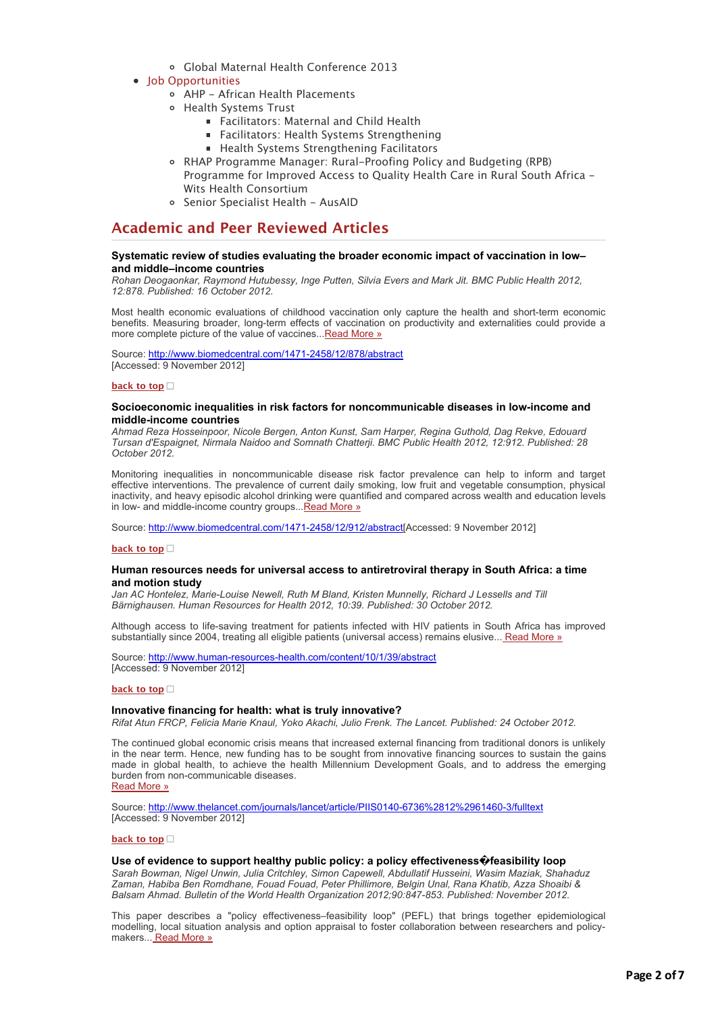- [Global Maternal Health Conference 2013](applewebdata://4CEACF31-FBC6-4364-8641-E0C7553DDCDF#C_5)
- [Job Opportunities](applewebdata://4CEACF31-FBC6-4364-8641-E0C7553DDCDF#jobs)
	- [AHP African Health Placements](applewebdata://4CEACF31-FBC6-4364-8641-E0C7553DDCDF#J_0)
	- Health Systems Trust
		- [Facilitators: Maternal and Child Health](applewebdata://4CEACF31-FBC6-4364-8641-E0C7553DDCDF#J_1)
			- **[Facilitators: Health Systems Strengthening](applewebdata://4CEACF31-FBC6-4364-8641-E0C7553DDCDF#J_1)**
			- **[Health Systems Strengthening Facilitators](applewebdata://4CEACF31-FBC6-4364-8641-E0C7553DDCDF#J_1)**
	- RHAP Programme Manager: Rural-Proofing Policy and Budgeting (RPB) [Programme for Improved Access to Quality Health Care in Rural South Africa -](applewebdata://4CEACF31-FBC6-4364-8641-E0C7553DDCDF#J_2) Wits Health Consortium
	- o [Senior Specialist Health AusAID](applewebdata://4CEACF31-FBC6-4364-8641-E0C7553DDCDF#J_3)

# **Academic and Peer Reviewed Articles**

#### **Systematic review of studies evaluating the broader economic impact of vaccination in low– and middle–income countries**

*Rohan Deogaonkar, Raymond Hutubessy, Inge Putten, Silvia Evers and Mark Jit. BMC Public Health 2012, 12:878. Published: 16 October 2012.*

Most health economic evaluations of childhood vaccination only capture the health and short-term economic benefits. Measuring broader, long-term effects of vaccination on productivity and externalities could provide a more complete picture of the value of vaccines... [Read More »](http://bulletin.hst.org.za//lt.php?id=K09VDlVQUQUASlBWC0UHC1NR)

Source: [http://www.biomedcentral.com/1471-2458/12/878/abstract](http://bulletin.hst.org.za//lt.php?id=K09VDlVQUQUASlBWC0UHC1NR) [Accessed: 9 November 2012]

#### **[back to top](applewebdata://4CEACF31-FBC6-4364-8641-E0C7553DDCDF#top)**

#### **Socioeconomic inequalities in risk factors for noncommunicable diseases in low-income and middle-income countries**

*Ahmad Reza Hosseinpoor, Nicole Bergen, Anton Kunst, Sam Harper, Regina Guthold, Dag Rekve, Edouard Tursan d'Espaignet, Nirmala Naidoo and Somnath Chatterji. BMC Public Health 2012, 12:912. Published: 28 October 2012.*

Monitoring inequalities in noncommunicable disease risk factor prevalence can help to inform and target effective interventions. The prevalence of current daily smoking, low fruit and vegetable consumption, physical inactivity, and heavy episodic alcohol drinking were quantified and compared across wealth and education levels in low- and middle-income country groups... Read More »

Source: [http://www.biomedcentral.com/1471-2458/12/912/abstract\[](http://bulletin.hst.org.za//lt.php?id=K09VDlVQUQUPSlBWC0UHC1NR)Accessed: 9 November 2012]

#### **[back to top](applewebdata://4CEACF31-FBC6-4364-8641-E0C7553DDCDF#top)**

#### **Human resources needs for universal access to antiretroviral therapy in South Africa: a time and motion study**

*Jan AC Hontelez, Marie-Louise Newell, Ruth M Bland, Kristen Munnelly, Richard J Lessells and Till Bärnighausen. Human Resources for Health 2012, 10:39. Published: 30 October 2012.*

Although access to life-saving treatment for patients infected with HIV patients in South Africa has improved substantially since 2004, treating all eligible patients (universal access) remains elusive... [Read More »](http://bulletin.hst.org.za//lt.php?id=K09VDlVQUQUOSlBWC0UHC1NR)

Source: [http://www.human-resources-health.com/content/10/1/39/abstract](http://bulletin.hst.org.za//lt.php?id=K09VDlVQUQUOSlBWC0UHC1NR) [Accessed: 9 November 2012]

#### **[back to top](applewebdata://4CEACF31-FBC6-4364-8641-E0C7553DDCDF#top)**

#### **Innovative financing for health: what is truly innovative?**

*Rifat Atun FRCP, Felicia Marie Knaul, Yoko Akachi, Julio Frenk. The Lancet. Published: 24 October 2012.*

The continued global economic crisis means that increased external financing from traditional donors is unlikely in the near term. Hence, new funding has to be sought from innovative financing sources to sustain the gains made in global health, to achieve the health Millennium Development Goals, and to address the emerging burden from non-communicable diseases. [Read More »](http://bulletin.hst.org.za//lt.php?id=K09VDlVQUQIHSlBWC0UHC1NR)

Source: [http://www.thelancet.com/journals/lancet/article/PIIS0140-6736%2812%2961460-3/fulltext](http://bulletin.hst.org.za//lt.php?id=K09VDlVQUQIHSlBWC0UHC1NR) [Accessed: 9 November 2012]

#### **[back to top](applewebdata://4CEACF31-FBC6-4364-8641-E0C7553DDCDF#top)**

#### **Use of evidence to support healthy public policy: a policy effectiveness�feasibility loop**

*Sarah Bowman, Nigel Unwin, Julia Critchley, Simon Capewell, Abdullatif Husseini, Wasim Maziak, Shahaduz Zaman, Habiba Ben Romdhane, Fouad Fouad, Peter Phillimore, Belgin Unal, Rana Khatib, Azza Shoaibi & Balsam Ahmad. Bulletin of the World Health Organization 2012;90:847-853. Published: November 2012.*

This paper describes a "policy effectiveness–feasibility loop" (PEFL) that brings together epidemiological modelling, local situation analysis and option appraisal to foster collaboration between researchers and policy-makers... [Read More »](http://bulletin.hst.org.za//lt.php?id=K09VDlVQUQIGSlBWC0UHC1NR)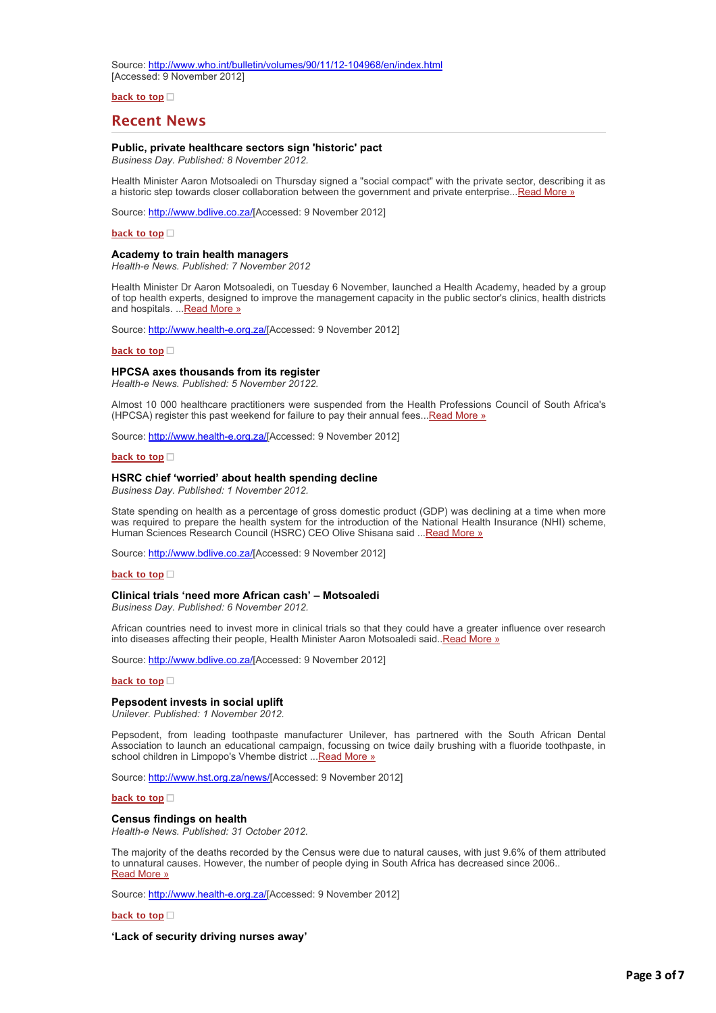Source: [http://www.who.int/bulletin/volumes/90/11/12-104968/en/index.html](http://bulletin.hst.org.za//lt.php?id=K09VDlVQUQIGSlBWC0UHC1NR) [Accessed: 9 November 2012]

**[back to top](applewebdata://4CEACF31-FBC6-4364-8641-E0C7553DDCDF#top)**

# **Recent News**

# **Public, private healthcare sectors sign 'historic' pact**

*Business Day. Published: 8 November 2012.*

Health Minister Aaron Motsoaledi on Thursday signed a "social compact" with the private sector, describing it as a historic step towards closer collaboration between the government and private enterprise..[.Read More »](http://bulletin.hst.org.za//lt.php?id=K09VDlVQUQ8CSlBWC0UHC1NR)

Source: [http://www.bdlive.co.za/](http://bulletin.hst.org.za//lt.php?id=K09VDlVQUQIESlBWC0UHC1NR)[Accessed: 9 November 2012]

**[back to top](applewebdata://4CEACF31-FBC6-4364-8641-E0C7553DDCDF#top)**

#### **Academy to train health managers**

*Health-e News. Published: 7 November 2012*

Health Minister Dr Aaron Motsoaledi, on Tuesday 6 November, launched a Health Academy, headed by a group of top health experts, designed to improve the management capacity in the public sector's clinics, health districts and hospitals. ... [Read More »](http://bulletin.hst.org.za//lt.php?id=K09VDlVQUQIFSlBWC0UHC1NR)

Source: [http://www.health-e.org.za/\[](http://bulletin.hst.org.za//lt.php?id=K09VDlVQUQIDSlBWC0UHC1NR)Accessed: 9 November 2012]

#### **[back to top](applewebdata://4CEACF31-FBC6-4364-8641-E0C7553DDCDF#top)**

#### **HPCSA axes thousands from its register**

*Health-e News. Published: 5 November 20122.*

Almost 10 000 healthcare practitioners were suspended from the Health Professions Council of South Africa's (HPCSA) register this past weekend for failure to pay their annual fees..[.Read More »](http://bulletin.hst.org.za//lt.php?id=K09VDlVQUQICSlBWC0UHC1NR)

Source: [http://www.health-e.org.za/\[](http://bulletin.hst.org.za//lt.php?id=K09VDlVQUQIBSlBWC0UHC1NR)Accessed: 9 November 2012]

#### **[back to top](applewebdata://4CEACF31-FBC6-4364-8641-E0C7553DDCDF#top)**

#### **HSRC chief 'worried' about health spending decline**

*Business Day. Published: 1 November 2012.*

State spending on health as a percentage of gross domestic product (GDP) was declining at a time when more was required to prepare the health system for the introduction of the National Health Insurance (NHI) scheme, Human Sciences Research Council (HSRC) CEO Olive Shisana said ... Read More »

Source: [http://www.bdlive.co.za/](http://bulletin.hst.org.za//lt.php?id=K09VDlVQUQIASlBWC0UHC1NR)[Accessed: 9 November 2012]

#### **[back to top](applewebdata://4CEACF31-FBC6-4364-8641-E0C7553DDCDF#top)**

#### **Clinical trials 'need more African cash' – Motsoaledi**

*Business Day. Published: 6 November 2012.*

African countries need to invest more in clinical trials so that they could have a greater influence over research into diseases affecting their people, Health Minister Aaron Motsoaledi said.[.Read More »](http://bulletin.hst.org.za//lt.php?id=K09VDlVQUQIPSlBWC0UHC1NR)

Source: [http://www.bdlive.co.za/](http://bulletin.hst.org.za//lt.php?id=K09VDlVQUQIOSlBWC0UHC1NR)[Accessed: 9 November 2012]

#### **[back to top](applewebdata://4CEACF31-FBC6-4364-8641-E0C7553DDCDF#top)**

### **Pepsodent invests in social uplift**

*Unilever. Published: 1 November 2012.*

Pepsodent, from leading toothpaste manufacturer Unilever, has partnered with the South African Dental Association to launch an educational campaign, focussing on twice daily brushing with a fluoride toothpaste, in school children in Limpopo's Vhembe district ... Read More »

Source: [http://www.hst.org.za/news/\[](http://bulletin.hst.org.za//lt.php?id=K09VDlVQUQMHSlBWC0UHC1NR)Accessed: 9 November 2012]

#### **[back to top](applewebdata://4CEACF31-FBC6-4364-8641-E0C7553DDCDF#top)**

#### **Census findings on health**

*Health-e News. Published: 31 October 2012.*

The majority of the deaths recorded by the Census were due to natural causes, with just 9.6% of them attributed [to unnatural causes. However, the number of people dying in South Africa has decreased since 2006..](http://bulletin.hst.org.za//lt.php?id=K09VDlVQUQMGSlBWC0UHC1NR) Read More »

Source: [http://www.health-e.org.za/\[](http://bulletin.hst.org.za//lt.php?id=K09VDlVQUQ8BSlBWC0UHC1NR)Accessed: 9 November 2012]

#### **[back to top](applewebdata://4CEACF31-FBC6-4364-8641-E0C7553DDCDF#top)**

#### **'Lack of security driving nurses away'**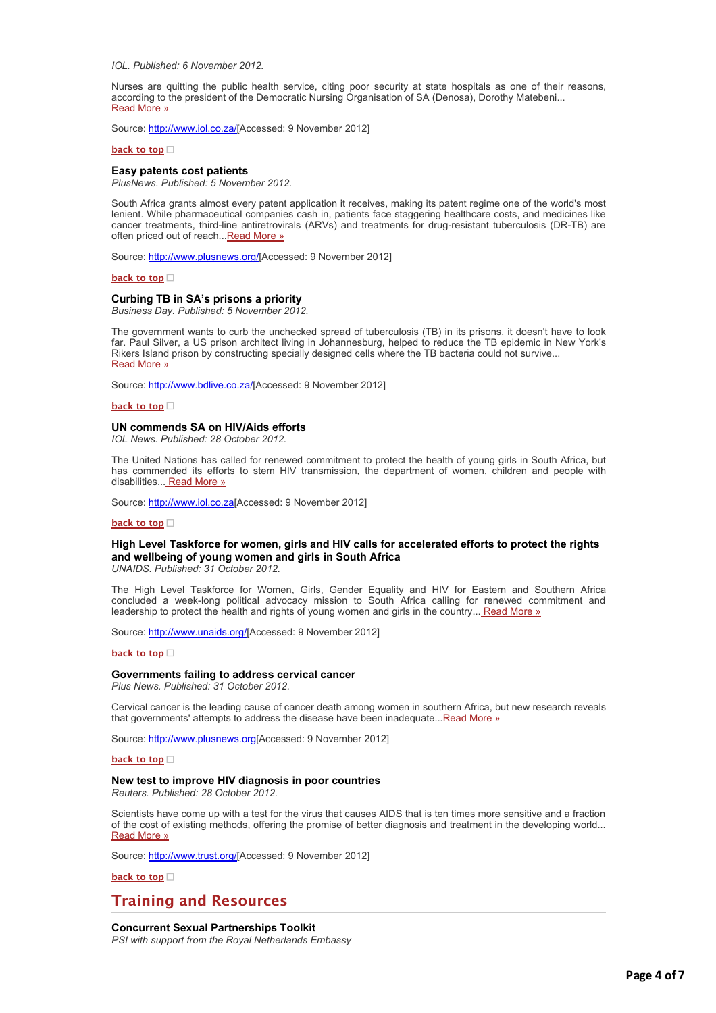*IOL. Published: 6 November 2012.*

Nurses are quitting the public health service, citing poor security at state hospitals as one of their reasons, [according to the president of the Democratic Nursing Organisation of SA \(Denosa\), Dorothy Matebeni...](http://bulletin.hst.org.za//lt.php?id=K09VDlVQUQMFSlBWC0UHC1NR) Read More »

Source: [http://www.iol.co.za/\[](http://bulletin.hst.org.za//lt.php?id=K09VDlVQUQMESlBWC0UHC1NR)Accessed: 9 November 2012]

**[back to top](applewebdata://4CEACF31-FBC6-4364-8641-E0C7553DDCDF#top)**

#### **Easy patents cost patients**

*PlusNews. Published: 5 November 2012.*

South Africa grants almost every patent application it receives, making its patent regime one of the world's most lenient. While pharmaceutical companies cash in, patients face staggering healthcare costs, and medicines like cancer treatments, third-line antiretrovirals (ARVs) and treatments for drug-resistant tuberculosis (DR-TB) are often priced out of reach... Read More »

Source: [http://www.plusnews.org/\[](http://bulletin.hst.org.za//lt.php?id=K09VDlVQUQMCSlBWC0UHC1NR)Accessed: 9 November 2012]

**[back to top](applewebdata://4CEACF31-FBC6-4364-8641-E0C7553DDCDF#top)**

#### **Curbing TB in SA's prisons a priority**

*Business Day. Published: 5 November 2012.*

The government wants to curb the unchecked spread of tuberculosis (TB) in its prisons, it doesn't have to look far. Paul Silver, a US prison architect living in Johannesburg, helped to reduce the TB epidemic in New York's Rikers Island prison by constructing specially designed cells where the TB bacteria could not survive... [Read More »](http://bulletin.hst.org.za//lt.php?id=K09VDlVQUQMBSlBWC0UHC1NR)

Source: [http://www.bdlive.co.za/](http://bulletin.hst.org.za//lt.php?id=K09VDlVQUQMASlBWC0UHC1NR)[Accessed: 9 November 2012]

**[back to top](applewebdata://4CEACF31-FBC6-4364-8641-E0C7553DDCDF#top)**

#### **UN commends SA on HIV/Aids efforts**

*IOL News. Published: 28 October 2012.*

The United Nations has called for renewed commitment to protect the health of young girls in South Africa, but has commended its efforts to stem HIV transmission, the department of women, children and people with disabilities... [Read More »](http://bulletin.hst.org.za//lt.php?id=K09VDlVQUQMPSlBWC0UHC1NR)

Source: [http://www.iol.co.za\[](http://bulletin.hst.org.za//lt.php?id=K09VDlVQUQMOSlBWC0UHC1NR)Accessed: 9 November 2012]

#### **[back to top](applewebdata://4CEACF31-FBC6-4364-8641-E0C7553DDCDF#top)**

### **High Level Taskforce for women, girls and HIV calls for accelerated efforts to protect the rights and wellbeing of young women and girls in South Africa**

*UNAIDS. Published: 31 October 2012.*

The High Level Taskforce for Women, Girls, Gender Equality and HIV for Eastern and Southern Africa concluded a week-long political advocacy mission to South Africa calling for renewed commitment and leadership to protect the health and rights of young women and girls in the country... [Read More »](http://bulletin.hst.org.za//lt.php?id=K09VDlVQUQAHSlBWC0UHC1NR)

Source: [http://www.unaids.org/](http://bulletin.hst.org.za//lt.php?id=K09VDlVQUQAGSlBWC0UHC1NR)[Accessed: 9 November 2012]

#### **[back to top](applewebdata://4CEACF31-FBC6-4364-8641-E0C7553DDCDF#top)**

#### **Governments failing to address cervical cancer**

*Plus News. Published: 31 October 2012.*

Cervical cancer is the leading cause of cancer death among women in southern Africa, but new research reveals that governments' attempts to address the disease have been inadequate..[.Read More »](http://bulletin.hst.org.za//lt.php?id=K09VDlVQUQAFSlBWC0UHC1NR)

Source: [http://www.plusnews.org\[](http://bulletin.hst.org.za//lt.php?id=K09VDlVQUQAESlBWC0UHC1NR)Accessed: 9 November 2012]

#### **[back to top](applewebdata://4CEACF31-FBC6-4364-8641-E0C7553DDCDF#top)**

#### **New test to improve HIV diagnosis in poor countries**

*Reuters. Published: 28 October 2012.*

Scientists have come up with a test for the virus that causes AIDS that is ten times more sensitive and a fraction of the cost of existing methods, offering the promise of better diagnosis and treatment in the developing world... [Read More »](http://bulletin.hst.org.za//lt.php?id=K09VDlVQUQADSlBWC0UHC1NR)

Source: [http://www.trust.org/\[](http://bulletin.hst.org.za//lt.php?id=K09VDlVQUQACSlBWC0UHC1NR)Accessed: 9 November 2012]

#### **[back to top](applewebdata://4CEACF31-FBC6-4364-8641-E0C7553DDCDF#top)**

# **Training and Resources**

#### **Concurrent Sexual Partnerships Toolkit**

*PSI with support from the Royal Netherlands Embassy*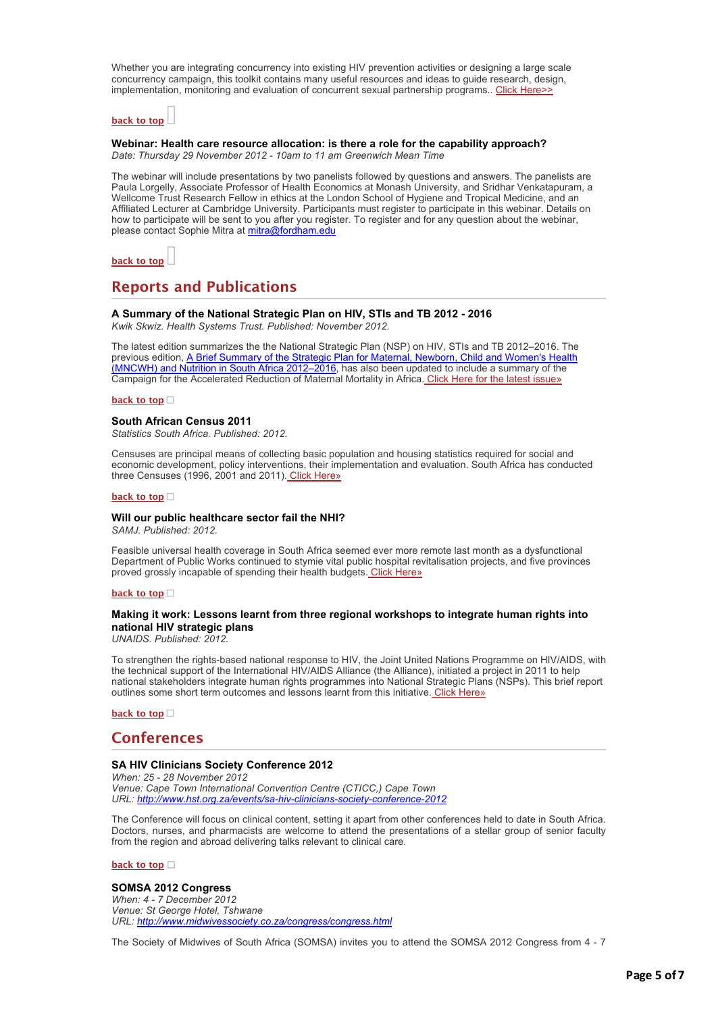Whether you are integrating concurrency into existing HIV prevention activities or designing a large scale concurrency campaign, this toolkit contains many useful resources and ideas to guide research, design, implementation, monitoring and evaluation of concurrent sexual partnership programs.. [Click Here>>](http://bulletin.hst.org.za//lt.php?id=K09VDlVQUQABSlBWC0UHC1NR)

# **[back to top](applewebdata://4CEACF31-FBC6-4364-8641-E0C7553DDCDF#top)**

# **Webinar: Health care resource allocation: is there a role for the capability approach?**

*Date: Thursday 29 November 2012 - 10am to 11 am Greenwich Mean Time* 

The webinar will include presentations by two panelists followed by questions and answers. The panelists are Paula Lorgelly, Associate Professor of Health Economics at Monash University, and Sridhar Venkatapuram, a Wellcome Trust Research Fellow in ethics at the London School of Hygiene and Tropical Medicine, and an Affiliated Lecturer at Cambridge University. Participants must register to participate in this webinar. Details on how to participate will be sent to you after you register. To register and for any question about the webinar, please contact Sophie Mitra at [mitra@fordham.edu](mailto:mitra@fordham.edu)



# **Reports and Publications**

#### **A Summary of the National Strategic Plan on HIV, STIs and TB 2012 - 2016**

*Kwik Skwiz. Health Systems Trust. Published: November 2012.*

The latest edition summarizes the the National Strategic Plan (NSP) on HIV, STIs and TB 2012–2016. The [previous edition, A Brief Summary of the Strategic Plan for Maternal, Newborn, Child and Women's Health](http://bulletin.hst.org.za//lt.php?id=K09VDlVQUQAASlBWC0UHC1NR) (MNCWH) and Nutrition in South Africa 2012–2016, has also been updated to include a summary of the Campaign for the Accelerated Reduction of Maternal Mortality in Africa. [Click Here for the latest issue»](http://bulletin.hst.org.za//lt.php?id=K09VDlVQUQAPSlBWC0UHC1NR)

#### **[back to top](applewebdata://4CEACF31-FBC6-4364-8641-E0C7553DDCDF#top)**

#### **South African Census 2011**

*Statistics South Africa. Published: 2012.*

Censuses are principal means of collecting basic population and housing statistics required for social and economic development, policy interventions, their implementation and evaluation. South Africa has conducted three Censuses (1996, 2001 and 2011). [Click Here»](http://bulletin.hst.org.za//lt.php?id=K09VDlVQUQAOSlBWC0UHC1NR)

#### **[back to top](applewebdata://4CEACF31-FBC6-4364-8641-E0C7553DDCDF#top)**

# **Will our public healthcare sector fail the NHI?**

*SAMJ. Published: 2012.*

Feasible universal health coverage in South Africa seemed ever more remote last month as a dysfunctional Department of Public Works continued to stymie vital public hospital revitalisation projects, and five provinces proved grossly incapable of spending their health budgets. [Click Here»](http://bulletin.hst.org.za//lt.php?id=K09VDlVQUQEHSlBWC0UHC1NR)

**[back to top](applewebdata://4CEACF31-FBC6-4364-8641-E0C7553DDCDF#top)**

### **Making it work: Lessons learnt from three regional workshops to integrate human rights into national HIV strategic plans**

*UNAIDS. Published: 2012.*

To strengthen the rights-based national response to HIV, the Joint United Nations Programme on HIV/AIDS, with the technical support of the International HIV/AIDS Alliance (the Alliance), initiated a project in 2011 to help national stakeholders integrate human rights programmes into National Strategic Plans (NSPs). This brief report outlines some short term outcomes and lessons learnt from this initiative. [Click Here»](http://bulletin.hst.org.za//lt.php?id=K09VDlVQUQEGSlBWC0UHC1NR)

**[back to top](applewebdata://4CEACF31-FBC6-4364-8641-E0C7553DDCDF#top)**

# **Conferences**

#### **SA HIV Clinicians Society Conference 2012**

*When: 25 - 28 November 2012 Venue: Cape Town International Convention Centre (CTICC,) Cape Town URL: [http://www.hst.org.za/events/sa-hiv-clinicians-society-conference-2012](http://bulletin.hst.org.za//lt.php?id=K09VDlVQUQEFSlBWC0UHC1NR)*

The Conference will focus on clinical content, setting it apart from other conferences held to date in South Africa. Doctors, nurses, and pharmacists are welcome to attend the presentations of a stellar group of senior faculty from the region and abroad delivering talks relevant to clinical care.

**[back to top](applewebdata://4CEACF31-FBC6-4364-8641-E0C7553DDCDF#top)**

#### **SOMSA 2012 Congress**

*When: 4 - 7 December 2012 Venue: St George Hotel, Tshwane URL: [http://www.midwivessociety.co.za/congress/congress.html](http://bulletin.hst.org.za//lt.php?id=K09VDlVQUQEESlBWC0UHC1NR)*

The Society of Midwives of South Africa (SOMSA) invites you to attend the SOMSA 2012 Congress from 4 - 7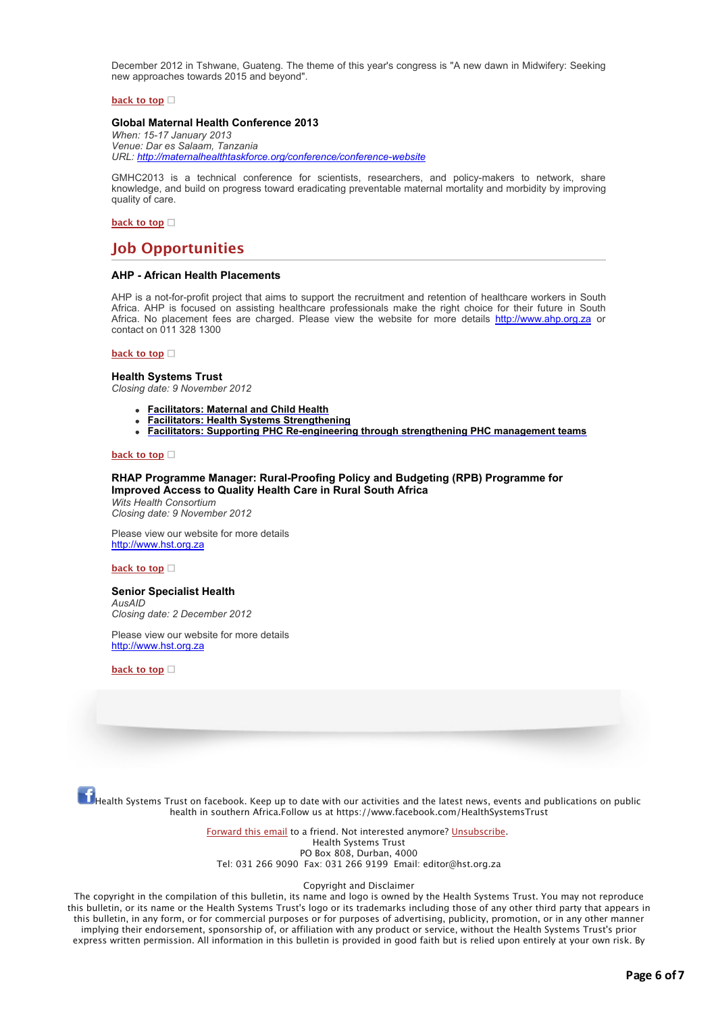December 2012 in Tshwane, Guateng. The theme of this year's congress is "A new dawn in Midwifery: Seeking new approaches towards 2015 and beyond".

#### **[back to top](applewebdata://4CEACF31-FBC6-4364-8641-E0C7553DDCDF#top)**

#### **Global Maternal Health Conference 2013**

*When: 15-17 January 2013 Venue: Dar es Salaam, Tanzania URL: [http://maternalhealthtaskforce.org/conference/conference-website](http://bulletin.hst.org.za//lt.php?id=K09VDlVQUQEDSlBWC0UHC1NR)*

GMHC2013 is a technical conference for scientists, researchers, and policy-makers to network, share knowledge, and build on progress toward eradicating preventable maternal mortality and morbidity by improving quality of care.

#### **[back to top](applewebdata://4CEACF31-FBC6-4364-8641-E0C7553DDCDF#top)**

# **Job Opportunities**

#### **AHP - African Health Placements**

AHP is a not-for-profit project that aims to support the recruitment and retention of healthcare workers in South Africa. AHP is focused on assisting healthcare professionals make the right choice for their future in South Africa. No placement fees are charged. Please view the website for more details [http://www.ahp.org.za](http://bulletin.hst.org.za//lt.php?id=K09VDlVQUQECSlBWC0UHC1NR) or contact on 011 328 1300

#### **[back to top](applewebdata://4CEACF31-FBC6-4364-8641-E0C7553DDCDF#top)**

#### **Health Systems Trust**

*Closing date: 9 November 2012*

- **[Facilitators: Maternal and Child Health](http://bulletin.hst.org.za//lt.php?id=K09VDlVQUQEBSlBWC0UHC1NR)**
- **[Facilitators: Health Systems Strengthening](http://bulletin.hst.org.za//lt.php?id=K09VDlVQUQEASlBWC0UHC1NR)**
- **[Facilitators: Supporting PHC Re-engineering through strengthening PHC management teams](http://bulletin.hst.org.za//lt.php?id=K09VDlVQUQEPSlBWC0UHC1NR)**

#### **[back to top](applewebdata://4CEACF31-FBC6-4364-8641-E0C7553DDCDF#top)**

#### **RHAP Programme Manager: Rural-Proofing Policy and Budgeting (RPB) Programme for Improved Access to Quality Health Care in Rural South Africa**

*Wits Health Consortium Closing date: 9 November 2012*

Please view our website for more details [http://www.hst.org.za](http://bulletin.hst.org.za//lt.php?id=K09VDlVQUQEOSlBWC0UHC1NR)

#### **[back to top](applewebdata://4CEACF31-FBC6-4364-8641-E0C7553DDCDF#top)**

# **Senior Specialist Health**

*AusAID Closing date: 2 December 2012*

Please view our website for more details [http://www.hst.org.za](http://bulletin.hst.org.za//lt.php?id=K09VDlVQUQ4HSlBWC0UHC1NR)

**[back to top](applewebdata://4CEACF31-FBC6-4364-8641-E0C7553DDCDF#top)**

Health Systems Trust on facebook. Keep up to date with our activities and the latest news, events and publications on public<br>Thealth Systems Trust on facebook. Keep up to date with our activities and the latest news, event health in southern Africa.Follow us at https://www.facebook.com/HealthSystemsTrust

> [Forward this email](http://bulletin.hst.org.za//lt.php?id=K09VDlVQUQ4GSlBWC0UHC1NR) to a friend. Not interested anymore? [Unsubscribe](http://bulletin.hst.org.za//lt.php?id=K09VDlVQUQ4FSlBWC0UHC1NR). Health Systems Trust PO Box 808, Durban, 4000 Tel: 031 266 9090 Fax: 031 266 9199 Email: editor@hst.org.za

#### Copyright and Disclaimer

The copyright in the compilation of this bulletin, its name and logo is owned by the Health Systems Trust. You may not reproduce this bulletin, or its name or the Health Systems Trust's logo or its trademarks including those of any other third party that appears in this bulletin, in any form, or for commercial purposes or for purposes of advertising, publicity, promotion, or in any other manner implying their endorsement, sponsorship of, or affiliation with any product or service, without the Health Systems Trust's prior express written permission. All information in this bulletin is provided in good faith but is relied upon entirely at your own risk. By